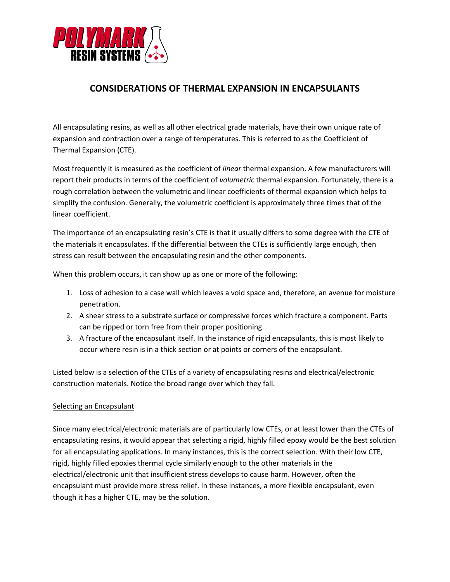

# **CONSIDERATIONS OF THERMAL EXPANSION IN ENCAPSULANTS**

All encapsulating resins, as well as all other electrical grade materials, have their own unique rate of expansion and contraction over a range of temperatures. This is referred to as the Coefficient of Thermal Expansion (CTE).

Most frequently it is measured as the coefficient of *linear* thermal expansion. A few manufacturers will report their products in terms of the coefficient of *volumetric* thermal expansion. Fortunately, there is a rough correlation between the volumetric and linear coefficients of thermal expansion which helps to simplify the confusion. Generally, the volumetric coefficient is approximately three times that of the linear coefficient.

The importance of an encapsulating resin's CTE is that it usually differs to some degree with the CTE of the materials it encapsulates. If the differential between the CTEs is sufficiently large enough, then stress can result between the encapsulating resin and the other components.

When this problem occurs, it can show up as one or more of the following:

- 1. Loss of adhesion to a case wall which leaves a void space and, therefore, an avenue for moisture penetration.
- 2. A shear stress to a substrate surface or compressive forces which fracture a component. Parts can be ripped or torn free from their proper positioning.
- 3. A fracture of the encapsulant itself. In the instance of rigid encapsulants, this is most likely to occur where resin is in a thick section or at points or corners of the encapsulant.

Listed below is a selection of the CTEs of a variety of encapsulating resins and electrical/electronic construction materials. Notice the broad range over which they fall.

## Selecting an Encapsulant

Since many electrical/electronic materials are of particularly low CTEs, or at least lower than the CTEs of encapsulating resins, it would appear that selecting a rigid, highly filled epoxy would be the best solution for all encapsulating applications. In many instances, this is the correct selection. With their low CTE, rigid, highly filled epoxies thermal cycle similarly enough to the other materials in the electrical/electronic unit that insufficient stress develops to cause harm. However, often the encapsulant must provide more stress relief. In these instances, a more flexible encapsulant, even though it has a higher CTE, may be the solution.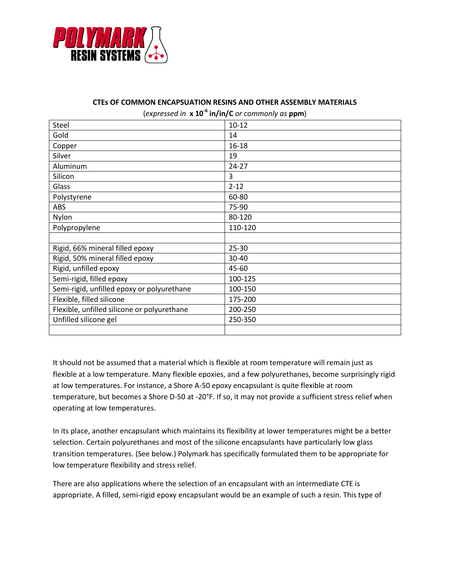

#### **CTEs OF COMMON ENCAPSUATION RESINS AND OTHER ASSEMBLY MATERIALS**

(*expressed in* **x 10-6 in/in/C** *or commonly as* **ppm**)

| Steel                                       | $10 - 12$ |
|---------------------------------------------|-----------|
| Gold                                        | 14        |
| Copper                                      | $16 - 18$ |
| Silver                                      | 19        |
| Aluminum                                    | $24 - 27$ |
| Silicon                                     | 3         |
| Glass                                       | $2 - 12$  |
| Polystyrene                                 | 60-80     |
| <b>ABS</b>                                  | 75-90     |
| Nylon                                       | 80-120    |
| Polypropylene                               | 110-120   |
|                                             |           |
| Rigid, 66% mineral filled epoxy             | 25-30     |
| Rigid, 50% mineral filled epoxy             | 30-40     |
| Rigid, unfilled epoxy                       | 45-60     |
| Semi-rigid, filled epoxy                    | 100-125   |
| Semi-rigid, unfilled epoxy or polyurethane  | 100-150   |
| Flexible, filled silicone                   | 175-200   |
| Flexible, unfilled silicone or polyurethane | 200-250   |
| Unfilled silicone gel                       | 250-350   |
|                                             |           |

It should not be assumed that a material which is flexible at room temperature will remain just as flexible at a low temperature. Many flexible epoxies, and a few polyurethanes, become surprisingly rigid at low temperatures. For instance, a Shore A-50 epoxy encapsulant is quite flexible at room temperature, but becomes a Shore D-50 at -20°F. If so, it may not provide a sufficient stress relief when operating at low temperatures.

In its place, another encapsulant which maintains its flexibility at lower temperatures might be a better selection. Certain polyurethanes and most of the silicone encapsulants have particularly low glass transition temperatures. (See below.) Polymark has specifically formulated them to be appropriate for low temperature flexibility and stress relief.

There are also applications where the selection of an encapsulant with an intermediate CTE is appropriate. A filled, semi-rigid epoxy encapsulant would be an example of such a resin. This type of